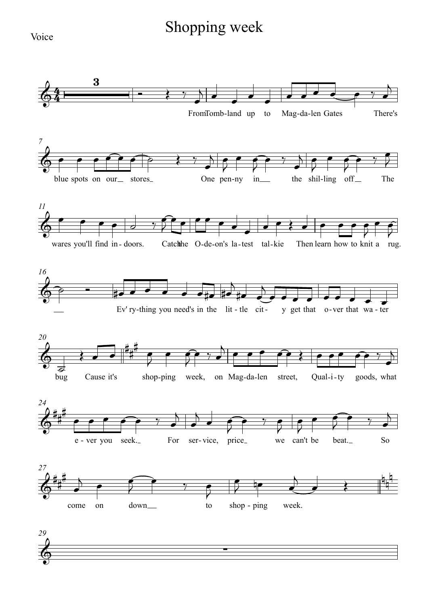## Shopping week

Voice

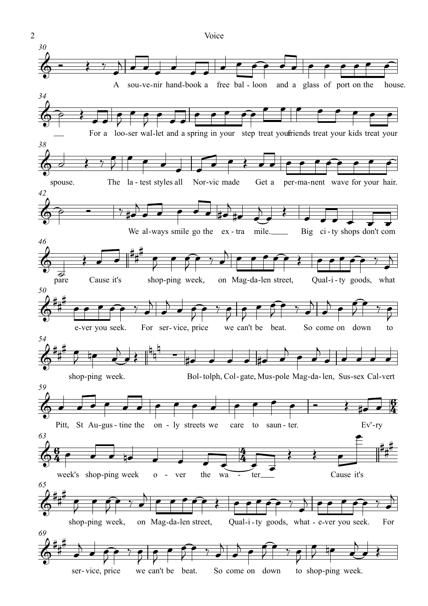